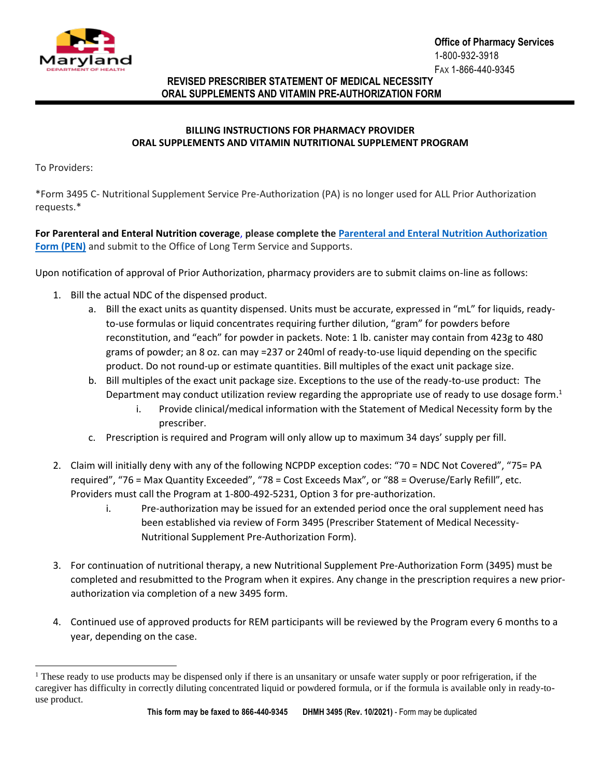

## **REVISED PRESCRIBER STATEMENT OF MEDICAL NECESSITY ORAL SUPPLEMENTS AND VITAMIN PRE-AUTHORIZATION FORM**

## **BILLING INSTRUCTIONS FOR PHARMACY PROVIDER ORAL SUPPLEMENTS AND VITAMIN NUTRITIONAL SUPPLEMENT PROGRAM**

To Providers:

l

\*Form 3495 C- Nutritional Supplement Service Pre-Authorization (PA) is no longer used for ALL Prior Authorization requests.\*

**For Parenteral and Enteral Nutrition coverage**, **please complete the [Parenteral and Enteral Nutrition Authorization](https://health.maryland.gov/mmcp/MCOupdates/Documents/PEN%20Authorization%20Form%20Fillable_1.22.2021.pdf)  [Form \(PEN\)](https://health.maryland.gov/mmcp/MCOupdates/Documents/PEN%20Authorization%20Form%20Fillable_1.22.2021.pdf)** and submit to the Office of Long Term Service and Supports.

Upon notification of approval of Prior Authorization, pharmacy providers are to submit claims on-line as follows:

- 1. Bill the actual NDC of the dispensed product.
	- a. Bill the exact units as quantity dispensed. Units must be accurate, expressed in "mL" for liquids, readyto-use formulas or liquid concentrates requiring further dilution, "gram" for powders before reconstitution, and "each" for powder in packets. Note: 1 lb. canister may contain from 423g to 480 grams of powder; an 8 oz. can may =237 or 240ml of ready-to-use liquid depending on the specific product. Do not round-up or estimate quantities. Bill multiples of the exact unit package size.
	- b. Bill multiples of the exact unit package size. Exceptions to the use of the ready-to-use product: The Department may conduct utilization review regarding the appropriate use of ready to use dosage form.<sup>1</sup>
		- i. Provide clinical/medical information with the Statement of Medical Necessity form by the prescriber.
	- c. Prescription is required and Program will only allow up to maximum 34 days' supply per fill.
- 2. Claim will initially deny with any of the following NCPDP exception codes: "70 = NDC Not Covered", "75= PA required", "76 = Max Quantity Exceeded", "78 = Cost Exceeds Max", or "88 = Overuse/Early Refill", etc. Providers must call the Program at 1-800-492-5231, Option 3 for pre-authorization.
	- i. Pre-authorization may be issued for an extended period once the oral supplement need has been established via review of Form 3495 (Prescriber Statement of Medical Necessity-Nutritional Supplement Pre-Authorization Form).
- 3. For continuation of nutritional therapy, a new Nutritional Supplement Pre-Authorization Form (3495) must be completed and resubmitted to the Program when it expires. Any change in the prescription requires a new priorauthorization via completion of a new 3495 form.
- 4. Continued use of approved products for REM participants will be reviewed by the Program every 6 months to a year, depending on the case.

<sup>&</sup>lt;sup>1</sup> These ready to use products may be dispensed only if there is an unsanitary or unsafe water supply or poor refrigeration, if the caregiver has difficulty in correctly diluting concentrated liquid or powdered formula, or if the formula is available only in ready-touse product.